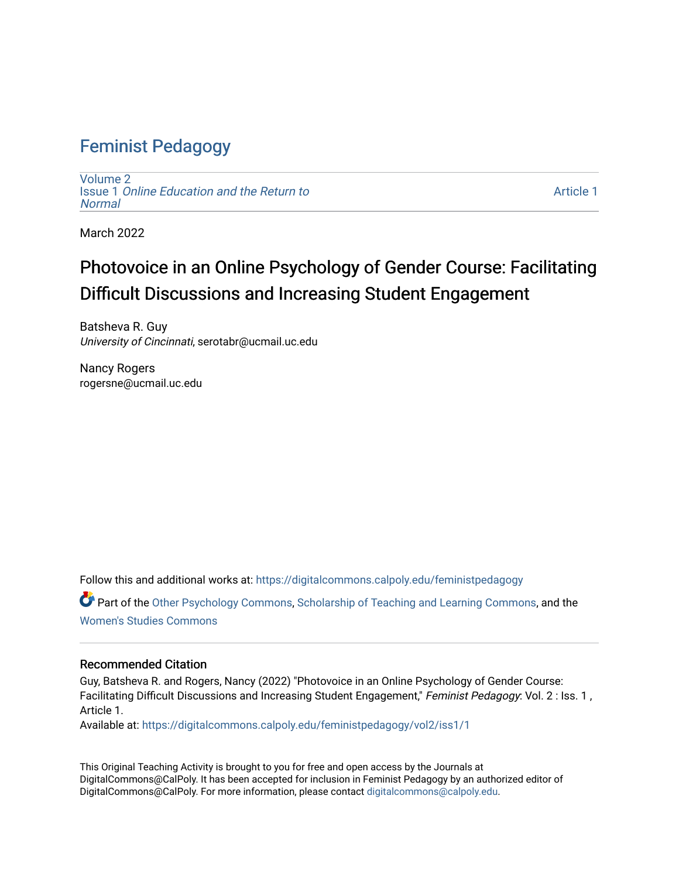## [Feminist Pedagogy](https://digitalcommons.calpoly.edu/feministpedagogy)

[Volume 2](https://digitalcommons.calpoly.edu/feministpedagogy/vol2) Issue 1 [Online Education and the Return to](https://digitalcommons.calpoly.edu/feministpedagogy/vol2/iss1)  **[Normal](https://digitalcommons.calpoly.edu/feministpedagogy/vol2/iss1)** 

[Article 1](https://digitalcommons.calpoly.edu/feministpedagogy/vol2/iss1/1) 

March 2022

# Photovoice in an Online Psychology of Gender Course: Facilitating Difficult Discussions and Increasing Student Engagement

Batsheva R. Guy University of Cincinnati, serotabr@ucmail.uc.edu

Nancy Rogers rogersne@ucmail.uc.edu

Follow this and additional works at: [https://digitalcommons.calpoly.edu/feministpedagogy](https://digitalcommons.calpoly.edu/feministpedagogy?utm_source=digitalcommons.calpoly.edu%2Ffeministpedagogy%2Fvol2%2Fiss1%2F1&utm_medium=PDF&utm_campaign=PDFCoverPages)

Part of the [Other Psychology Commons,](http://network.bepress.com/hgg/discipline/415?utm_source=digitalcommons.calpoly.edu%2Ffeministpedagogy%2Fvol2%2Fiss1%2F1&utm_medium=PDF&utm_campaign=PDFCoverPages) [Scholarship of Teaching and Learning Commons,](http://network.bepress.com/hgg/discipline/1328?utm_source=digitalcommons.calpoly.edu%2Ffeministpedagogy%2Fvol2%2Fiss1%2F1&utm_medium=PDF&utm_campaign=PDFCoverPages) and the [Women's Studies Commons](http://network.bepress.com/hgg/discipline/561?utm_source=digitalcommons.calpoly.edu%2Ffeministpedagogy%2Fvol2%2Fiss1%2F1&utm_medium=PDF&utm_campaign=PDFCoverPages)

#### Recommended Citation

Guy, Batsheva R. and Rogers, Nancy (2022) "Photovoice in an Online Psychology of Gender Course: Facilitating Difficult Discussions and Increasing Student Engagement," Feminist Pedagogy: Vol. 2 : Iss. 1, Article 1.

Available at: [https://digitalcommons.calpoly.edu/feministpedagogy/vol2/iss1/1](https://digitalcommons.calpoly.edu/feministpedagogy/vol2/iss1/1?utm_source=digitalcommons.calpoly.edu%2Ffeministpedagogy%2Fvol2%2Fiss1%2F1&utm_medium=PDF&utm_campaign=PDFCoverPages)

This Original Teaching Activity is brought to you for free and open access by the Journals at DigitalCommons@CalPoly. It has been accepted for inclusion in Feminist Pedagogy by an authorized editor of DigitalCommons@CalPoly. For more information, please contact [digitalcommons@calpoly.edu](mailto:digitalcommons@calpoly.edu).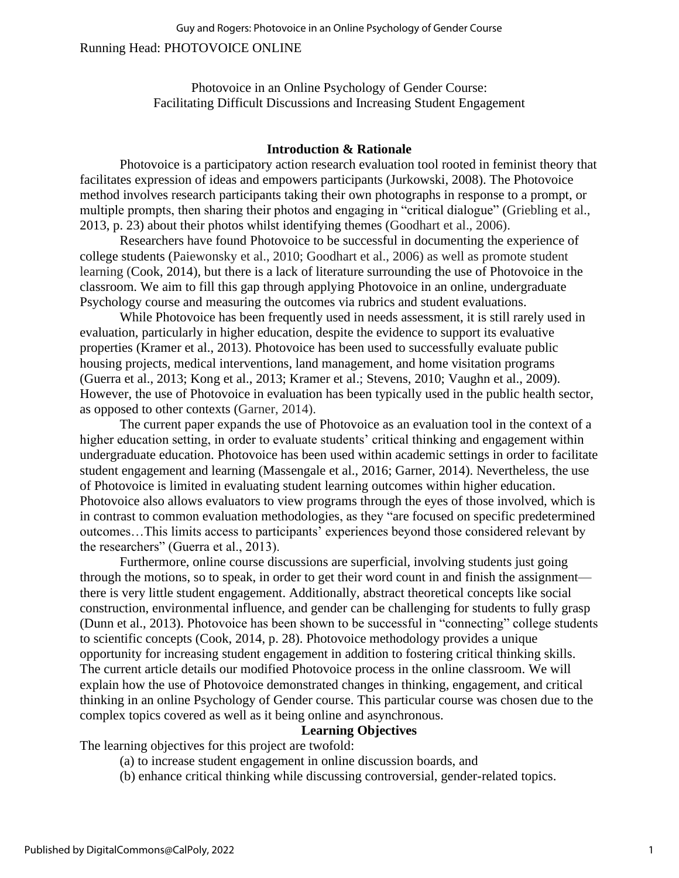Running Head: PHOTOVOICE ONLINE

Photovoice in an Online Psychology of Gender Course: Facilitating Difficult Discussions and Increasing Student Engagement

#### **Introduction & Rationale**

Photovoice is a participatory action research evaluation tool rooted in feminist theory that facilitates expression of ideas and empowers participants (Jurkowski, 2008). The Photovoice method involves research participants taking their own photographs in response to a prompt, or multiple prompts, then sharing their photos and engaging in "critical dialogue" (Griebling et al., 2013, p. 23) about their photos whilst identifying themes (Goodhart et al., 2006).

Researchers have found Photovoice to be successful in documenting the experience of college students (Paiewonsky et al., 2010; Goodhart et al., 2006) as well as promote student learning (Cook, 2014), but there is a lack of literature surrounding the use of Photovoice in the classroom. We aim to fill this gap through applying Photovoice in an online, undergraduate Psychology course and measuring the outcomes via rubrics and student evaluations.

While Photovoice has been frequently used in needs assessment, it is still rarely used in evaluation, particularly in higher education, despite the evidence to support its evaluative properties (Kramer et al., 2013). Photovoice has been used to successfully evaluate public housing projects, medical interventions, land management, and home visitation programs (Guerra et al., 2013; Kong et al., 2013; Kramer et al.; Stevens, 2010; Vaughn et al., 2009). However, the use of Photovoice in evaluation has been typically used in the public health sector, as opposed to other contexts (Garner, 2014).

The current paper expands the use of Photovoice as an evaluation tool in the context of a higher education setting, in order to evaluate students' critical thinking and engagement within undergraduate education. Photovoice has been used within academic settings in order to facilitate student engagement and learning (Massengale et al., 2016; Garner, 2014). Nevertheless, the use of Photovoice is limited in evaluating student learning outcomes within higher education. Photovoice also allows evaluators to view programs through the eyes of those involved, which is in contrast to common evaluation methodologies, as they "are focused on specific predetermined outcomes…This limits access to participants' experiences beyond those considered relevant by the researchers" (Guerra et al., 2013).

Furthermore, online course discussions are superficial, involving students just going through the motions, so to speak, in order to get their word count in and finish the assignment there is very little student engagement. Additionally, abstract theoretical concepts like social construction, environmental influence, and gender can be challenging for students to fully grasp (Dunn et al., 2013). Photovoice has been shown to be successful in "connecting" college students to scientific concepts (Cook, 2014, p. 28). Photovoice methodology provides a unique opportunity for increasing student engagement in addition to fostering critical thinking skills. The current article details our modified Photovoice process in the online classroom. We will explain how the use of Photovoice demonstrated changes in thinking, engagement, and critical thinking in an online Psychology of Gender course. This particular course was chosen due to the complex topics covered as well as it being online and asynchronous.

### **Learning Objectives**

The learning objectives for this project are twofold:

- (a) to increase student engagement in online discussion boards, and
- (b) enhance critical thinking while discussing controversial, gender-related topics.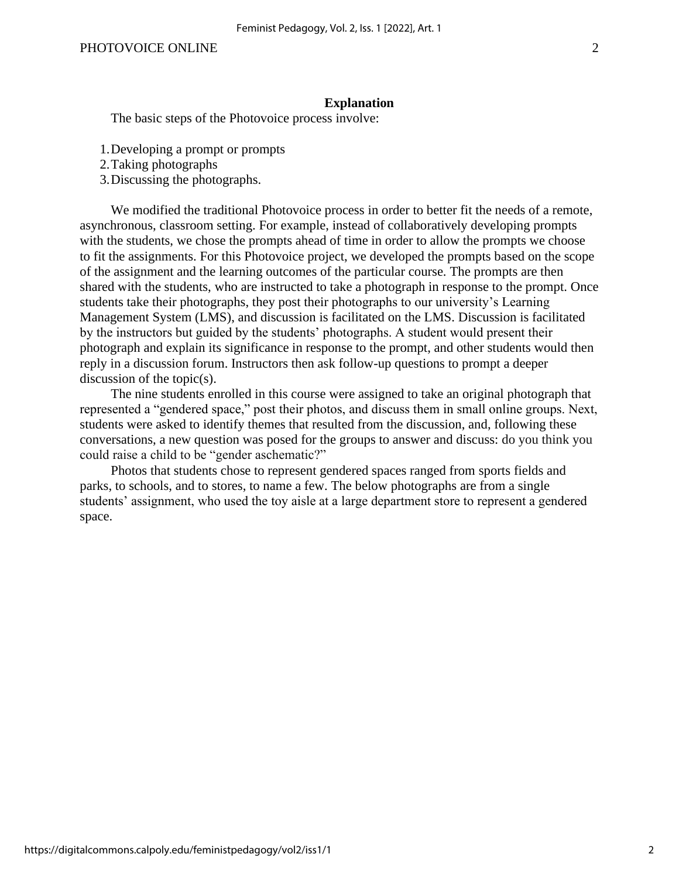#### **Explanation**

The basic steps of the Photovoice process involve:

- 1.Developing a prompt or prompts
- 2.Taking photographs
- 3.Discussing the photographs.

We modified the traditional Photovoice process in order to better fit the needs of a remote, asynchronous, classroom setting. For example, instead of collaboratively developing prompts with the students, we chose the prompts ahead of time in order to allow the prompts we choose to fit the assignments. For this Photovoice project, we developed the prompts based on the scope of the assignment and the learning outcomes of the particular course. The prompts are then shared with the students, who are instructed to take a photograph in response to the prompt. Once students take their photographs, they post their photographs to our university's Learning Management System (LMS), and discussion is facilitated on the LMS. Discussion is facilitated by the instructors but guided by the students' photographs. A student would present their photograph and explain its significance in response to the prompt, and other students would then reply in a discussion forum. Instructors then ask follow-up questions to prompt a deeper discussion of the topic(s).

The nine students enrolled in this course were assigned to take an original photograph that represented a "gendered space," post their photos, and discuss them in small online groups. Next, students were asked to identify themes that resulted from the discussion, and, following these conversations, a new question was posed for the groups to answer and discuss: do you think you could raise a child to be "gender aschematic?"

Photos that students chose to represent gendered spaces ranged from sports fields and parks, to schools, and to stores, to name a few. The below photographs are from a single students' assignment, who used the toy aisle at a large department store to represent a gendered space.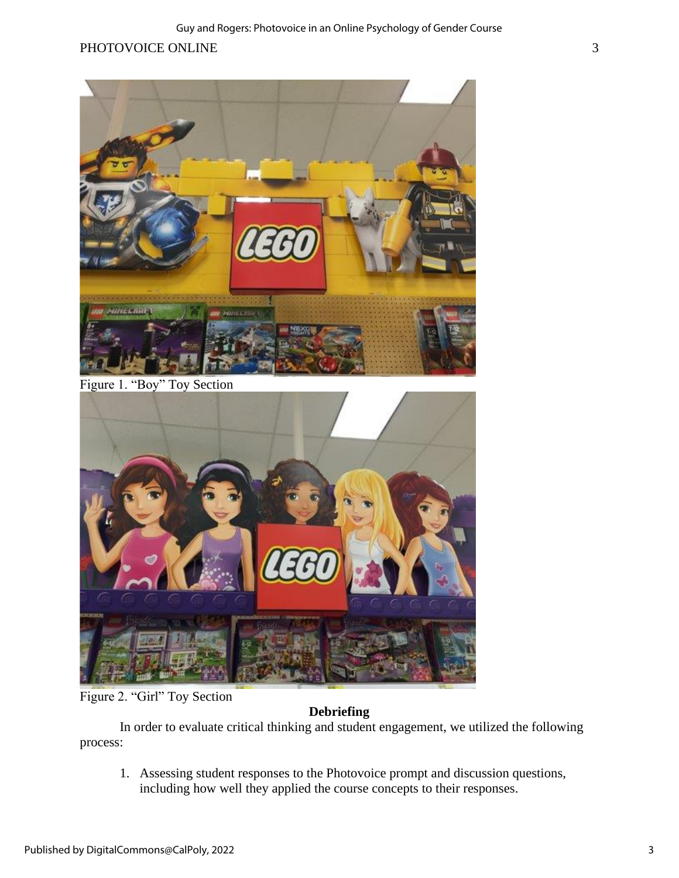## PHOTOVOICE ONLINE 3



Figure 1. "Boy" Toy Section



Figure 2. "Girl" Toy Section

## **Debriefing**

In order to evaluate critical thinking and student engagement, we utilized the following process:

1. Assessing student responses to the Photovoice prompt and discussion questions, including how well they applied the course concepts to their responses.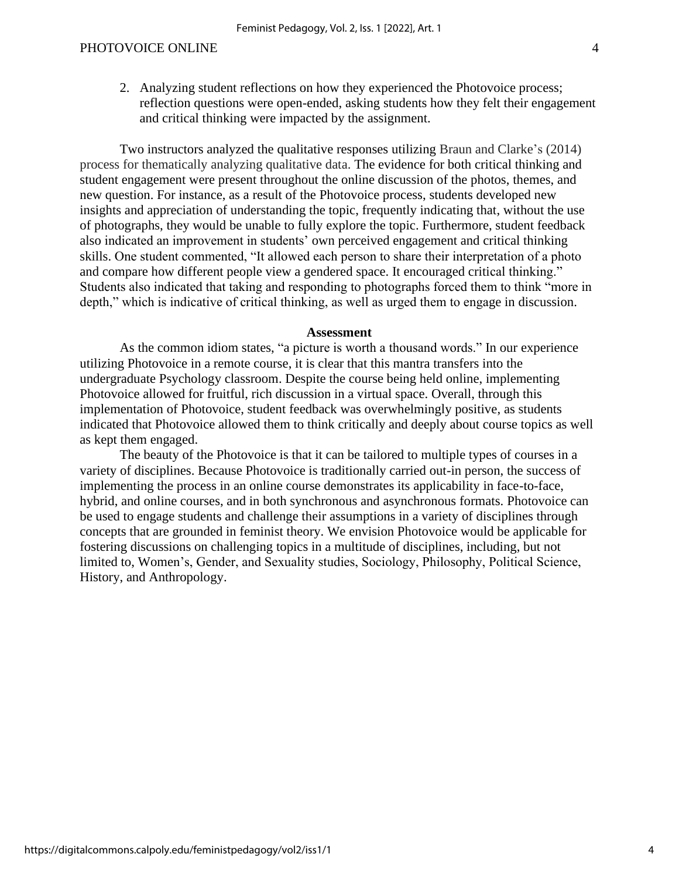2. Analyzing student reflections on how they experienced the Photovoice process; reflection questions were open-ended, asking students how they felt their engagement and critical thinking were impacted by the assignment.

Two instructors analyzed the qualitative responses utilizing Braun and Clarke's (2014) process for thematically analyzing qualitative data. The evidence for both critical thinking and student engagement were present throughout the online discussion of the photos, themes, and new question. For instance, as a result of the Photovoice process, students developed new insights and appreciation of understanding the topic, frequently indicating that, without the use of photographs, they would be unable to fully explore the topic. Furthermore, student feedback also indicated an improvement in students' own perceived engagement and critical thinking skills. One student commented, "It allowed each person to share their interpretation of a photo and compare how different people view a gendered space. It encouraged critical thinking." Students also indicated that taking and responding to photographs forced them to think "more in depth," which is indicative of critical thinking, as well as urged them to engage in discussion.

#### **Assessment**

As the common idiom states, "a picture is worth a thousand words." In our experience utilizing Photovoice in a remote course, it is clear that this mantra transfers into the undergraduate Psychology classroom. Despite the course being held online, implementing Photovoice allowed for fruitful, rich discussion in a virtual space. Overall, through this implementation of Photovoice, student feedback was overwhelmingly positive, as students indicated that Photovoice allowed them to think critically and deeply about course topics as well as kept them engaged.

The beauty of the Photovoice is that it can be tailored to multiple types of courses in a variety of disciplines. Because Photovoice is traditionally carried out-in person, the success of implementing the process in an online course demonstrates its applicability in face-to-face, hybrid, and online courses, and in both synchronous and asynchronous formats. Photovoice can be used to engage students and challenge their assumptions in a variety of disciplines through concepts that are grounded in feminist theory. We envision Photovoice would be applicable for fostering discussions on challenging topics in a multitude of disciplines, including, but not limited to, Women's, Gender, and Sexuality studies, Sociology, Philosophy, Political Science, History, and Anthropology.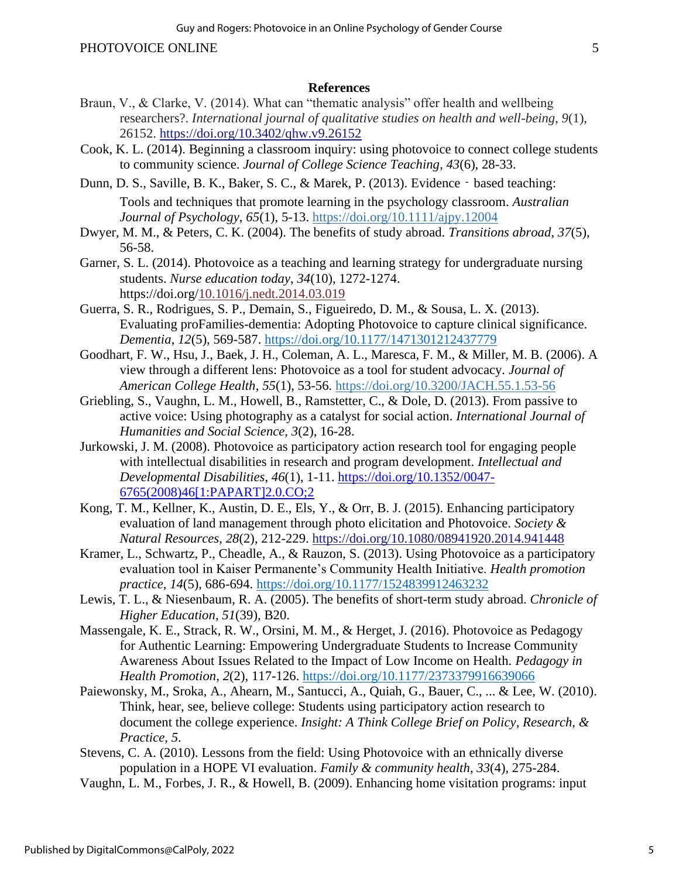#### **References**

- Braun, V., & Clarke, V. (2014). What can "thematic analysis" offer health and wellbeing researchers?. *International journal of qualitative studies on health and well-being*, *9*(1), 26152. <https://doi.org/10.3402/qhw.v9.26152>
- Cook, K. L. (2014). Beginning a classroom inquiry: using photovoice to connect college students to community science. *Journal of College Science Teaching*, *43*(6), 28-33.
- Dunn, D. S., Saville, B. K., Baker, S. C., & Marek, P. (2013). Evidence based teaching: Tools and techniques that promote learning in the psychology classroom. *Australian Journal of Psychology*, *65*(1), 5-13. [https://doi.org/10.1111/ajpy.12004](https://psycnet.apa.org/doi/10.1111/ajpy.12004)
- Dwyer, M. M., & Peters, C. K. (2004). The benefits of study abroad. *Transitions abroad*, *37*(5), 56-58.
- Garner, S. L. (2014). Photovoice as a teaching and learning strategy for undergraduate nursing students. *Nurse education today*, *34*(10), 1272-1274. https://doi.org[/10.1016/j.nedt.2014.03.019](http://dx.doi.org/10.1016%2Fj.nedt.2014.03.019)
- Guerra, S. R., Rodrigues, S. P., Demain, S., Figueiredo, D. M., & Sousa, L. X. (2013). Evaluating proFamilies-dementia: Adopting Photovoice to capture clinical significance. *Dementia*, *12*(5), 569-587. [https://doi.org/10.1177/1471301212437779](https://doi.org/10.1177%2F1471301212437779)
- Goodhart, F. W., Hsu, J., Baek, J. H., Coleman, A. L., Maresca, F. M., & Miller, M. B. (2006). A view through a different lens: Photovoice as a tool for student advocacy. *Journal of American College Health*, *55*(1), 53-56. [https://doi.org/10.3200/JACH.55.1.53-56](https://psycnet.apa.org/doi/10.3200/JACH.55.1.53-56)
- Griebling, S., Vaughn, L. M., Howell, B., Ramstetter, C., & Dole, D. (2013). From passive to active voice: Using photography as a catalyst for social action. *International Journal of Humanities and Social Science*, *3*(2), 16-28.
- Jurkowski, J. M. (2008). Photovoice as participatory action research tool for engaging people with intellectual disabilities in research and program development. *Intellectual and Developmental Disabilities*, *46*(1), 1-11. [https://doi.org/10.1352/0047-](https://doi.org/10.1352/0047-6765(2008)46%5b1:PAPART%5d2.0.CO;2) [6765\(2008\)46\[1:PAPART\]2.0.CO;2](https://doi.org/10.1352/0047-6765(2008)46%5b1:PAPART%5d2.0.CO;2)
- Kong, T. M., Kellner, K., Austin, D. E., Els, Y., & Orr, B. J. (2015). Enhancing participatory evaluation of land management through photo elicitation and Photovoice. *Society & Natural Resources*, *28*(2), 212-229. <https://doi.org/10.1080/08941920.2014.941448>
- Kramer, L., Schwartz, P., Cheadle, A., & Rauzon, S. (2013). Using Photovoice as a participatory evaluation tool in Kaiser Permanente's Community Health Initiative. *Health promotion practice*, *14*(5), 686-694. [https://doi.org/10.1177/1524839912463232](https://doi.org/10.1177%2F1524839912463232)
- Lewis, T. L., & Niesenbaum, R. A. (2005). The benefits of short-term study abroad. *Chronicle of Higher Education*, *51*(39), B20.
- Massengale, K. E., Strack, R. W., Orsini, M. M., & Herget, J. (2016). Photovoice as Pedagogy for Authentic Learning: Empowering Undergraduate Students to Increase Community Awareness About Issues Related to the Impact of Low Income on Health. *Pedagogy in Health Promotion*, *2*(2), 117-126. [https://doi.org/10.1177/2373379916639066](https://doi.org/10.1177%2F2373379916639066)
- Paiewonsky, M., Sroka, A., Ahearn, M., Santucci, A., Quiah, G., Bauer, C., ... & Lee, W. (2010). Think, hear, see, believe college: Students using participatory action research to document the college experience. *Insight: A Think College Brief on Policy, Research, & Practice*, *5*.
- Stevens, C. A. (2010). Lessons from the field: Using Photovoice with an ethnically diverse population in a HOPE VI evaluation. *Family & community health*, *33*(4), 275-284.
- Vaughn, L. M., Forbes, J. R., & Howell, B. (2009). Enhancing home visitation programs: input